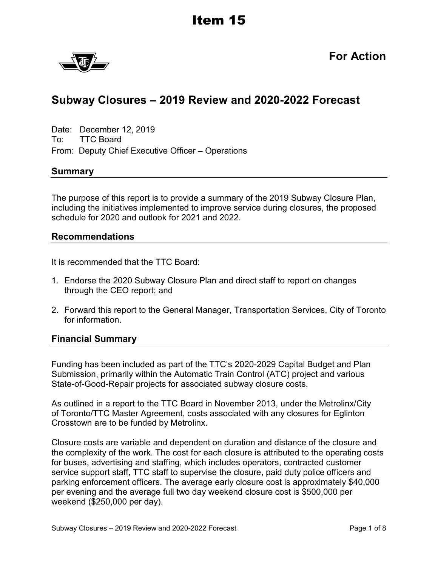

**For Action**

# **Subway Closures – 2019 Review and 2020-2022 Forecast**

Date: December 12, 2019 To: TTC Board From: Deputy Chief Executive Officer – Operations

#### **Summary**

The purpose of this report is to provide a summary of the 2019 Subway Closure Plan, including the initiatives implemented to improve service during closures, the proposed schedule for 2020 and outlook for 2021 and 2022.

#### **Recommendations**

It is recommended that the TTC Board:

- 1. Endorse the 2020 Subway Closure Plan and direct staff to report on changes through the CEO report; and
- 2. Forward this report to the General Manager, Transportation Services, City of Toronto for information.

#### **Financial Summary**

Funding has been included as part of the TTC's 2020-2029 Capital Budget and Plan Submission, primarily within the Automatic Train Control (ATC) project and various State-of-Good-Repair projects for associated subway closure costs.

As outlined in a report to the TTC Board in November 2013, under the Metrolinx/City of Toronto/TTC Master Agreement, costs associated with any closures for Eglinton Crosstown are to be funded by Metrolinx.

Closure costs are variable and dependent on duration and distance of the closure and the complexity of the work. The cost for each closure is attributed to the operating costs for buses, advertising and staffing, which includes operators, contracted customer service support staff, TTC staff to supervise the closure, paid duty police officers and parking enforcement officers. The average early closure cost is approximately \$40,000 per evening and the average full two day weekend closure cost is \$500,000 per weekend (\$250,000 per day).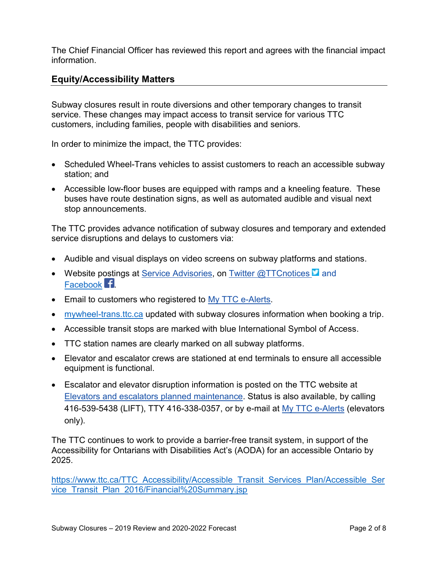The Chief Financial Officer has reviewed this report and agrees with the financial impact information.

## **Equity/Accessibility Matters**

Subway closures result in route diversions and other temporary changes to transit service. These changes may impact access to transit service for various TTC customers, including families, people with disabilities and seniors.

In order to minimize the impact, the TTC provides:

- Scheduled Wheel-Trans vehicles to assist customers to reach an accessible subway station; and
- Accessible low-floor buses are equipped with ramps and a kneeling feature. These buses have route destination signs, as well as automated audible and visual next stop announcements.

The TTC provides advance notification of subway closures and temporary and extended service disruptions and delays to customers via:

- Audible and visual displays on video screens on subway platforms and stations.
- Website postings at Service [Advisories,](https://www.ttc.ca/Service_Advisories/index.jsp) on Twitter [@TTCnotices](https://twitter.com/ttcnotices)  $\blacksquare$  and [Facebook](https://www.facebook.com/TorontoTransitCommission) **.1**
- **Email to customers who registered to My TTC [e-Alerts.](https://www.ttc.ca/Service_Advisories/My_ttc_e_services/index.jsp)**
- [mywheel-trans.ttc.ca](https://mywheel-trans.ttc.ca/SelfBooking2018/login) updated with subway closures information when booking a trip.
- Accessible transit stops are marked with blue International Symbol of Access.
- TTC station names are clearly marked on all subway platforms.
- Elevator and escalator crews are stationed at end terminals to ensure all accessible equipment is functional.
- Escalator and elevator disruption information is posted on the TTC website at Elevators and escalators planned [maintenance.](https://www.ttc.ca/Service_Advisories/Elevators_and_escalators/index.jsp) Status is also available, by calling 416-539-5438 (LIFT), TTY 416-338-0357, or by e-mail at My TTC [e-Alerts](https://www.ttc.ca/Service_Advisories/My_ttc_e_services/index.jsp) (elevators only).

The TTC continues to work to provide a barrier-free transit system, in support of the Accessibility for Ontarians with Disabilities Act's (AODA) for an accessible Ontario by 2025.

[https://www.ttc.ca/TTC\\_Accessibility/Accessible\\_Transit\\_Services\\_Plan/Accessible\\_Ser](https://www.ttc.ca/TTC_Accessibility/Accessible_Transit_Services_Plan/Accessible_Service_Transit_Plan_2016/Financial%20Summary.jsp) vice Transit Plan 2016/Financial%20Summary.jsp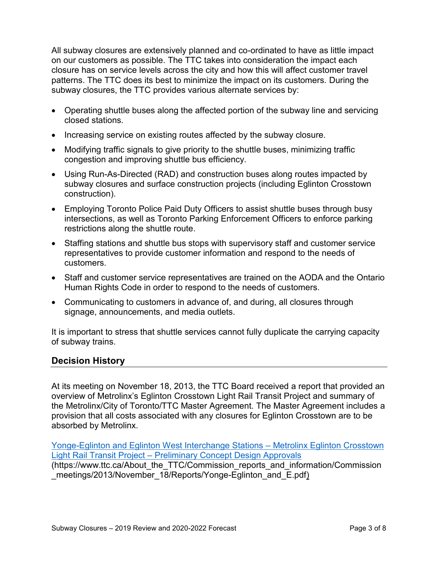All subway closures are extensively planned and co-ordinated to have as little impact on our customers as possible. The TTC takes into consideration the impact each closure has on service levels across the city and how this will affect customer travel patterns. The TTC does its best to minimize the impact on its customers. During the subway closures, the TTC provides various alternate services by:

- Operating shuttle buses along the affected portion of the subway line and servicing closed stations.
- Increasing service on existing routes affected by the subway closure.
- Modifying traffic signals to give priority to the shuttle buses, minimizing traffic congestion and improving shuttle bus efficiency.
- Using Run-As-Directed (RAD) and construction buses along routes impacted by subway closures and surface construction projects (including Eglinton Crosstown construction).
- Employing Toronto Police Paid Duty Officers to assist shuttle buses through busy intersections, as well as Toronto Parking Enforcement Officers to enforce parking restrictions along the shuttle route.
- Staffing stations and shuttle bus stops with supervisory staff and customer service representatives to provide customer information and respond to the needs of customers.
- Staff and customer service representatives are trained on the AODA and the Ontario Human Rights Code in order to respond to the needs of customers.
- Communicating to customers in advance of, and during, all closures through signage, announcements, and media outlets.

It is important to stress that shuttle services cannot fully duplicate the carrying capacity of subway trains.

## **Decision History**

At its meeting on November 18, 2013, the TTC Board received a report that provided an overview of Metrolinx's Eglinton Crosstown Light Rail Transit Project and summary of the Metrolinx/City of Toronto/TTC Master Agreement. The Master Agreement includes a provision that all costs associated with any closures for Eglinton Crosstown are to be absorbed by Metrolinx.

[Yonge-Eglinton and Eglinton West Interchange Stations](https://www.ttc.ca/About_the_TTC/Commission_reports_and_information/Commission_meetings/2013/November_18/Reports/Yonge-Eglinton_and_E.pdf) – Metrolinx Eglinton Crosstown Light Rail Transit Project – [Preliminary Concept Design Approvals](https://www.ttc.ca/About_the_TTC/Commission_reports_and_information/Commission_meetings/2013/November_18/Reports/Yonge-Eglinton_and_E.pdf) (https://www.ttc.ca/About\_the\_TTC/Commission\_reports\_and\_information/Commission \_meetings/2013/November\_18/Reports/Yonge-Eglinton\_and\_E.pdf)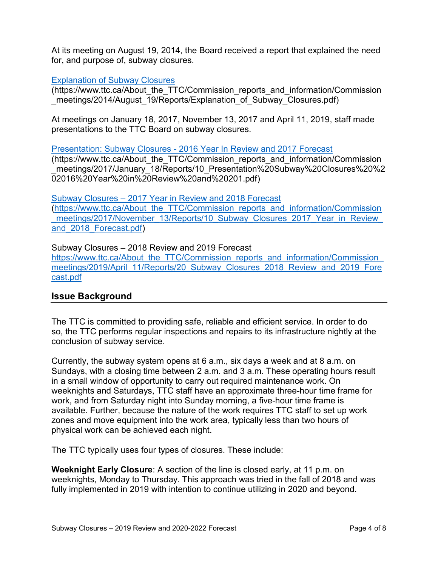At its meeting on August 19, 2014, the Board received a report that explained the need for, and purpose of, subway closures.

#### [Explanation of Subway Closures](https://www.ttc.ca/About_the_TTC/Commission_reports_and_information/Commission_meetings/2014/August_19/Reports/Explanation_of_Subway_Closures.pdf)

(https://www.ttc.ca/About\_the\_TTC/Commission\_reports\_and\_information/Commission meetings/2014/August 19/Reports/Explanation of Subway Closures.pdf)

At meetings on January 18, 2017, November 13, 2017 and April 11, 2019, staff made presentations to the TTC Board on subway closures.

Presentation: Subway Closures - [2016 Year In Review and 2017 Forecast](https://www.ttc.ca/About_the_TTC/Commission_reports_and_information/Commission_meetings/2017/January_18/Reports/10_Presentation%20Subway%20Closures%20%202016%20Year%20in%20Review%20and%20201.pdf)

(https://www.ttc.ca/About\_the\_TTC/Commission\_reports\_and\_information/Commission \_meetings/2017/January\_18/Reports/10\_Presentation%20Subway%20Closures%20%2 02016%20Year%20in%20Review%20and%20201.pdf)

Subway Closures – [2017 Year in Review and 2018 Forecast](https://www.ttc.ca/About_the_TTC/Commission_reports_and_information/Commission_meetings/2017/November_13/Reports/10_Subway_Closures_2017_Year_in_Review_and_2018_Forecast.pdf) [\(https://www.ttc.ca/About\\_the\\_TTC/Commission\\_reports\\_and\\_information/Commission](https://www.ttc.ca/About_the_TTC/Commission_reports_and_information/Commission_meetings/2017/November_13/Reports/10_Subway_Closures_2017_Year_in_Review_and_2018_Forecast.pdf) meetings/2017/November 13/Reports/10 Subway Closures 2017 Year in Review [and\\_2018\\_Forecast.pdf\)](https://www.ttc.ca/About_the_TTC/Commission_reports_and_information/Commission_meetings/2017/November_13/Reports/10_Subway_Closures_2017_Year_in_Review_and_2018_Forecast.pdf)

Subway Closures – 2018 Review and 2019 Forecast https://www.ttc.ca/About\_the\_TTC/Commission\_reports\_and\_information/Commission [meetings/2019/April\\_11/Reports/20\\_Subway\\_Closures\\_2018\\_Review\\_and\\_2019\\_Fore](https://www.ttc.ca/About_the_TTC/Commission_reports_and_information/Commission_meetings/2019/April_11/Reports/20_Subway_Closures_2018_Review_and_2019_Forecast.pdf) [cast.pdf](https://www.ttc.ca/About_the_TTC/Commission_reports_and_information/Commission_meetings/2019/April_11/Reports/20_Subway_Closures_2018_Review_and_2019_Forecast.pdf)

#### **Issue Background**

The TTC is committed to providing safe, reliable and efficient service. In order to do so, the TTC performs regular inspections and repairs to its infrastructure nightly at the conclusion of subway service.

Currently, the subway system opens at 6 a.m., six days a week and at 8 a.m. on Sundays, with a closing time between 2 a.m. and 3 a.m. These operating hours result in a small window of opportunity to carry out required maintenance work. On weeknights and Saturdays, TTC staff have an approximate three-hour time frame for work, and from Saturday night into Sunday morning, a five-hour time frame is available. Further, because the nature of the work requires TTC staff to set up work zones and move equipment into the work area, typically less than two hours of physical work can be achieved each night.

The TTC typically uses four types of closures. These include:

**Weeknight Early Closure**: A section of the line is closed early, at 11 p.m. on weeknights, Monday to Thursday. This approach was tried in the fall of 2018 and was fully implemented in 2019 with intention to continue utilizing in 2020 and beyond.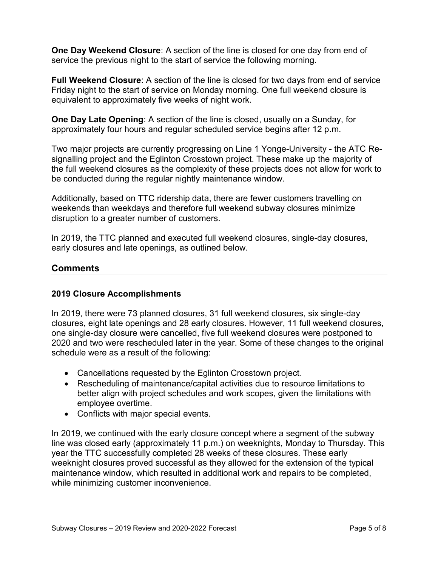**One Day Weekend Closure**: A section of the line is closed for one day from end of service the previous night to the start of service the following morning.

**Full Weekend Closure**: A section of the line is closed for two days from end of service Friday night to the start of service on Monday morning. One full weekend closure is equivalent to approximately five weeks of night work.

**One Day Late Opening**: A section of the line is closed, usually on a Sunday, for approximately four hours and regular scheduled service begins after 12 p.m.

Two major projects are currently progressing on Line 1 Yonge-University - the ATC Resignalling project and the Eglinton Crosstown project. These make up the majority of the full weekend closures as the complexity of these projects does not allow for work to be conducted during the regular nightly maintenance window.

Additionally, based on TTC ridership data, there are fewer customers travelling on weekends than weekdays and therefore full weekend subway closures minimize disruption to a greater number of customers.

In 2019, the TTC planned and executed full weekend closures, single-day closures, early closures and late openings, as outlined below.

### **Comments**

#### **2019 Closure Accomplishments**

In 2019, there were 73 planned closures, 31 full weekend closures, six single-day closures, eight late openings and 28 early closures. However, 11 full weekend closures, one single-day closure were cancelled, five full weekend closures were postponed to 2020 and two were rescheduled later in the year. Some of these changes to the original schedule were as a result of the following:

- Cancellations requested by the Eglinton Crosstown project.
- Rescheduling of maintenance/capital activities due to resource limitations to better align with project schedules and work scopes, given the limitations with employee overtime.
- Conflicts with major special events.

In 2019, we continued with the early closure concept where a segment of the subway line was closed early (approximately 11 p.m.) on weeknights, Monday to Thursday. This year the TTC successfully completed 28 weeks of these closures. These early weeknight closures proved successful as they allowed for the extension of the typical maintenance window, which resulted in additional work and repairs to be completed, while minimizing customer inconvenience.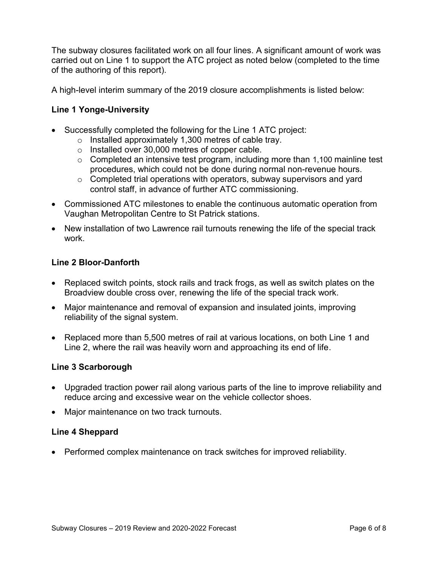The subway closures facilitated work on all four lines. A significant amount of work was carried out on Line 1 to support the ATC project as noted below (completed to the time of the authoring of this report).

A high-level interim summary of the 2019 closure accomplishments is listed below:

#### **Line 1 Yonge-University**

- Successfully completed the following for the Line 1 ATC project:
	- o Installed approximately 1,300 metres of cable tray.
	- o Installed over 30,000 metres of copper cable.
	- $\circ$  Completed an intensive test program, including more than 1,100 mainline test procedures, which could not be done during normal non-revenue hours.
	- o Completed trial operations with operators, subway supervisors and yard control staff, in advance of further ATC commissioning.
- Commissioned ATC milestones to enable the continuous automatic operation from Vaughan Metropolitan Centre to St Patrick stations.
- New installation of two Lawrence rail turnouts renewing the life of the special track work.

#### **Line 2 Bloor-Danforth**

- Replaced switch points, stock rails and track frogs, as well as switch plates on the Broadview double cross over, renewing the life of the special track work.
- Major maintenance and removal of expansion and insulated joints, improving reliability of the signal system.
- Replaced more than 5,500 metres of rail at various locations, on both Line 1 and Line 2, where the rail was heavily worn and approaching its end of life.

#### **Line 3 Scarborough**

- Upgraded traction power rail along various parts of the line to improve reliability and reduce arcing and excessive wear on the vehicle collector shoes.
- Major maintenance on two track turnouts.

#### **Line 4 Sheppard**

• Performed complex maintenance on track switches for improved reliability.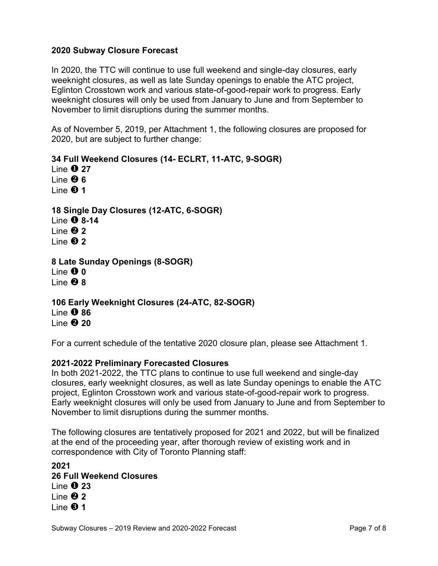#### **2020 Subway Closure Forecast**

In 2020, the TTC will continue to use full weekend and single-day closures, early weeknight closures, as well as late Sunday openings to enable the ATC project, Eglinton Crosstown work and various state-of-good-repair work to progress. Early weeknight closures will only be used from January to June and from September to November to limit disruptions during the summer months.

As of November 5, 2019, per Attachment 1, the following closures are proposed for 2020, but are subject to further change:

**34 Full Weekend Closures (14- ECLRT, 11-ATC, 9-SOGR)**

Line **0 27** Line **6 1** ine **8** 1 **18 Single Day Closures (12-ATC, 6-SOGR)**

Line **8-14** Line **2** Line **2**

**8 Late Sunday Openings (8-SOGR)** Line **0** Line **8**

**106 Early Weeknight Closures (24-ATC, 82-SOGR)** Line **0 86** Line **20** 20

For a current schedule of the tentative 2020 closure plan, please see Attachment 1.

#### **2021-2022 Preliminary Forecasted Closures**

In both 2021-2022, the TTC plans to continue to use full weekend and single-day closures, early weeknight closures, as well as late Sunday openings to enable the ATC project, Eglinton Crosstown work and various state-of-good-repair work to progress. Early weeknight closures will only be used from January to June and from September to November to limit disruptions during the summer months.

The following closures are tentatively proposed for 2021 and 2022, but will be finalized at the end of the proceeding year, after thorough review of existing work and in correspondence with City of Toronto Planning staff:

**2021 26 Full Weekend Closures**  Line **0 23** Line **2** Line **<b>0** 1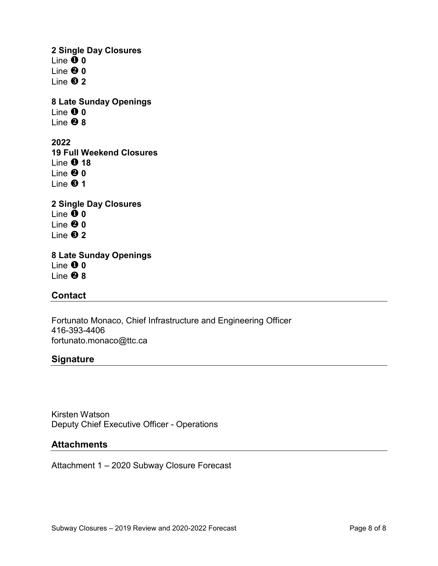**2 Single Day Closures**  Line **0** Line **0** Line **2 8 Late Sunday Openings** Line **0** Line **8 2022 19 Full Weekend Closures 1** ine **0** 18 Line **0** Line **1 2 Single Day Closures**  Line  $\tilde{\mathbf{0}}$  0 Line **0** Line **2 8 Late Sunday Openings** Line **0** Line **8**

#### **Contact**

Fortunato Monaco, Chief Infrastructure and Engineering Officer 416-393-4406 fortunato.monaco@ttc.ca

#### **Signature**

Kirsten Watson Deputy Chief Executive Officer - Operations

#### **Attachments**

Attachment 1 – 2020 Subway Closure Forecast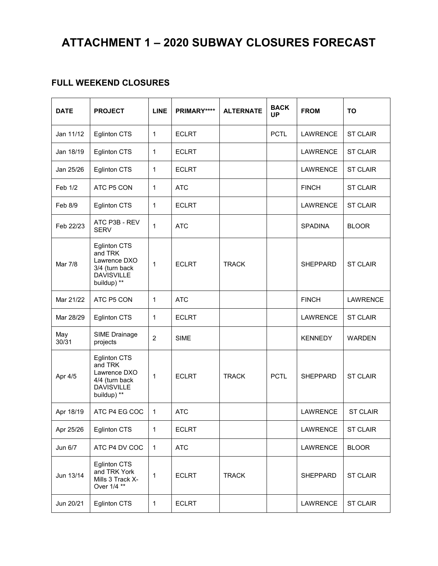# **ATTACHMENT 1 – 2020 SUBWAY CLOSURES FORECAST**

## **FULL WEEKEND CLOSURES**

| <b>DATE</b>  | <b>PROJECT</b>                                                                                       | <b>LINE</b>    | PRIMARY****  | <b>BACK</b><br><b>ALTERNATE</b><br><b>FROM</b><br><b>UP</b> |                                | <b>TO</b>       |                 |
|--------------|------------------------------------------------------------------------------------------------------|----------------|--------------|-------------------------------------------------------------|--------------------------------|-----------------|-----------------|
| Jan 11/12    | Eglinton CTS                                                                                         | $\mathbf{1}$   | <b>ECLRT</b> |                                                             | <b>PCTL</b>                    | <b>LAWRENCE</b> | <b>ST CLAIR</b> |
| Jan 18/19    | Eglinton CTS                                                                                         | 1              | <b>ECLRT</b> |                                                             |                                | <b>LAWRENCE</b> | <b>ST CLAIR</b> |
| Jan 25/26    | <b>Eglinton CTS</b>                                                                                  | $\mathbf{1}$   | <b>ECLRT</b> |                                                             |                                | <b>LAWRENCE</b> | <b>ST CLAIR</b> |
| Feb 1/2      | ATC P5 CON                                                                                           | $\mathbf{1}$   | <b>ATC</b>   |                                                             |                                | <b>FINCH</b>    | <b>ST CLAIR</b> |
| Feb 8/9      | <b>Eglinton CTS</b>                                                                                  | 1              | <b>ECLRT</b> |                                                             |                                | <b>LAWRENCE</b> | <b>ST CLAIR</b> |
| Feb 22/23    | ATC P3B - REV<br><b>SERV</b>                                                                         | 1              | <b>ATC</b>   |                                                             | <b>SPADINA</b>                 |                 | <b>BLOOR</b>    |
| Mar 7/8      | <b>Eglinton CTS</b><br>and TRK<br>Lawrence DXO<br>3/4 (turn back<br><b>DAVISVILLE</b><br>buildup) ** | 1              | <b>ECLRT</b> | <b>TRACK</b>                                                |                                | <b>SHEPPARD</b> | <b>ST CLAIR</b> |
| Mar 21/22    | ATC P5 CON                                                                                           | 1              | <b>ATC</b>   |                                                             |                                | <b>FINCH</b>    | <b>LAWRENCE</b> |
| Mar 28/29    | <b>Eglinton CTS</b>                                                                                  | 1              | <b>ECLRT</b> |                                                             |                                | <b>LAWRENCE</b> | <b>ST CLAIR</b> |
| May<br>30/31 | SIME Drainage<br>projects                                                                            | $\overline{2}$ | <b>SIME</b>  |                                                             |                                | <b>KENNEDY</b>  | <b>WARDEN</b>   |
| Apr 4/5      | <b>Eglinton CTS</b><br>and TRK<br>Lawrence DXO<br>4/4 (turn back<br><b>DAVISVILLE</b><br>buildup) ** | $\mathbf{1}$   | <b>ECLRT</b> | <b>TRACK</b>                                                | <b>PCTL</b><br><b>SHEPPARD</b> |                 | <b>ST CLAIR</b> |
| Apr 18/19    | ATC P4 EG COC                                                                                        | $\mathbf{1}$   | <b>ATC</b>   |                                                             |                                | <b>LAWRENCE</b> | <b>ST CLAIR</b> |
| Apr 25/26    | <b>Eglinton CTS</b>                                                                                  | $\mathbf{1}$   | <b>ECLRT</b> |                                                             |                                | <b>LAWRENCE</b> | <b>ST CLAIR</b> |
| Jun 6/7      | ATC P4 DV COC                                                                                        | $\mathbf{1}$   | <b>ATC</b>   |                                                             |                                | <b>LAWRENCE</b> | <b>BLOOR</b>    |
| Jun 13/14    | <b>Eglinton CTS</b><br>and TRK York<br>Mills 3 Track X-<br>Over 1/4 **                               | $\mathbf 1$    | <b>ECLRT</b> | <b>TRACK</b>                                                |                                | <b>SHEPPARD</b> | <b>ST CLAIR</b> |
| Jun 20/21    | <b>Eglinton CTS</b>                                                                                  | 1              | <b>ECLRT</b> |                                                             |                                | <b>LAWRENCE</b> | <b>ST CLAIR</b> |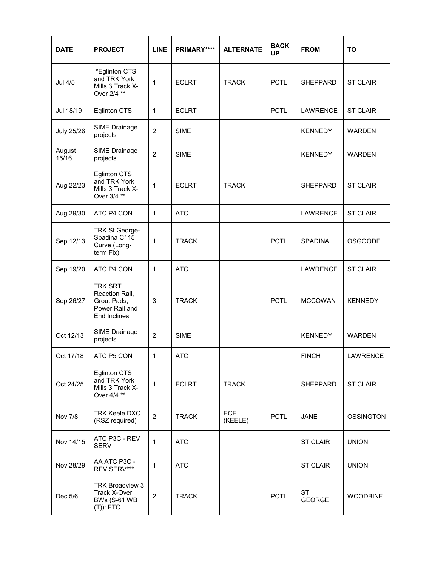| <b>DATE</b>       | <b>PROJECT</b>                                                                    | <b>LINE</b>    | PRIMARY****  | <b>BACK</b><br><b>ALTERNATE</b><br><b>UP</b>        |                 | <b>FROM</b>         | <b>TO</b>        |
|-------------------|-----------------------------------------------------------------------------------|----------------|--------------|-----------------------------------------------------|-----------------|---------------------|------------------|
| <b>Jul 4/5</b>    | *Eglinton CTS<br>and TRK York<br>Mills 3 Track X-<br>Over 2/4 **                  | 1              | <b>ECLRT</b> | <b>TRACK</b>                                        | <b>PCTL</b>     | <b>SHEPPARD</b>     | <b>ST CLAIR</b>  |
| Jul 18/19         | <b>Eglinton CTS</b>                                                               | 1              | <b>ECLRT</b> |                                                     | <b>PCTL</b>     | LAWRENCE            | <b>ST CLAIR</b>  |
| <b>July 25/26</b> | SIME Drainage<br>projects                                                         | $\overline{2}$ | <b>SIME</b>  |                                                     |                 | <b>KENNEDY</b>      | <b>WARDEN</b>    |
| August<br>15/16   | SIME Drainage<br>projects                                                         | $\overline{2}$ | <b>SIME</b>  |                                                     |                 | <b>KENNEDY</b>      | <b>WARDEN</b>    |
| Aug 22/23         | <b>Eglinton CTS</b><br>and TRK York<br>Mills 3 Track X-<br>Over 3/4 **            | 1              | <b>ECLRT</b> | <b>TRACK</b>                                        | <b>SHEPPARD</b> |                     | <b>ST CLAIR</b>  |
| Aug 29/30         | ATC P4 CON                                                                        | 1              | <b>ATC</b>   |                                                     |                 | <b>LAWRENCE</b>     | <b>ST CLAIR</b>  |
| Sep 12/13         | TRK St George-<br>Spadina C115<br>Curve (Long-<br>term Fix)                       | 1              | <b>TRACK</b> |                                                     | <b>PCTL</b>     | <b>SPADINA</b>      | <b>OSGOODE</b>   |
| Sep 19/20         | ATC P4 CON                                                                        | 1              | <b>ATC</b>   |                                                     |                 | <b>LAWRENCE</b>     | <b>ST CLAIR</b>  |
| Sep 26/27         | <b>TRK SRT</b><br>Reaction Rail,<br>Grout Pads,<br>Power Rail and<br>End Inclines | 3              | <b>TRACK</b> |                                                     | <b>PCTL</b>     | <b>MCCOWAN</b>      | <b>KENNEDY</b>   |
| Oct 12/13         | SIME Drainage<br>projects                                                         | $\overline{2}$ | <b>SIME</b>  |                                                     |                 | <b>KENNEDY</b>      | <b>WARDEN</b>    |
| Oct 17/18         | ATC P5 CON                                                                        | 1              | ATC          |                                                     |                 | <b>FINCH</b>        | LAWRENCE         |
| Oct 24/25         | <b>Eglinton CTS</b><br>and TRK York<br>Mills 3 Track X-<br>Over 4/4 **            | $\overline{1}$ | <b>ECLRT</b> | <b>TRACK</b>                                        |                 | <b>SHEPPARD</b>     | <b>ST CLAIR</b>  |
| <b>Nov 7/8</b>    | <b>TRK Keele DXO</b><br>(RSZ required)                                            | 2              | <b>TRACK</b> | <b>ECE</b><br><b>PCTL</b><br><b>JANE</b><br>(KEELE) |                 |                     | <b>OSSINGTON</b> |
| Nov 14/15         | ATC P3C - REV<br><b>SERV</b>                                                      | 1              | <b>ATC</b>   |                                                     |                 | <b>ST CLAIR</b>     | <b>UNION</b>     |
| Nov 28/29         | AA ATC P3C -<br>REV SERV***                                                       | 1              | <b>ATC</b>   |                                                     |                 | <b>ST CLAIR</b>     | <b>UNION</b>     |
| Dec 5/6           | TRK Broadview 3<br>Track X-Over<br><b>BWs (S-61 WB</b><br>$(T)$ : FTO             | 2              | <b>TRACK</b> |                                                     | <b>PCTL</b>     | ST<br><b>GEORGE</b> | <b>WOODBINE</b>  |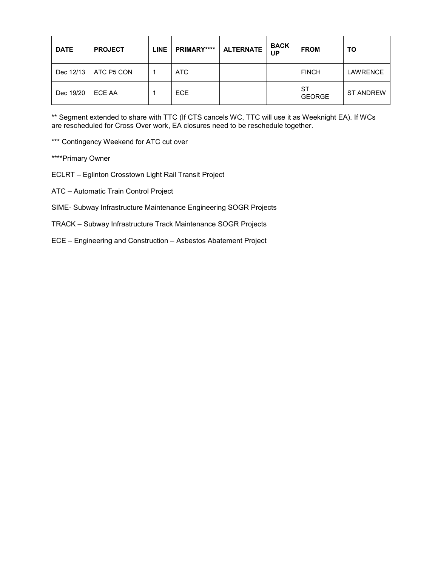| <b>DATE</b> | <b>PROJECT</b> | <b>LINE</b> | PRIMARY**** | <b>ALTERNATE</b> | <b>BACK</b><br>UP | <b>FROM</b>         | ΤO               |
|-------------|----------------|-------------|-------------|------------------|-------------------|---------------------|------------------|
| Dec 12/13   | ATC P5 CON     |             | ATC         |                  |                   | <b>FINCH</b>        | <b>LAWRENCE</b>  |
| Dec 19/20   | ECE AA         |             | <b>ECE</b>  |                  |                   | ST<br><b>GEORGE</b> | <b>ST ANDREW</b> |

\*\* Segment extended to share with TTC (If CTS cancels WC, TTC will use it as Weeknight EA). If WCs are rescheduled for Cross Over work, EA closures need to be reschedule together.

\*\*\* Contingency Weekend for ATC cut over

\*\*\*\*Primary Owner

- ECLRT Eglinton Crosstown Light Rail Transit Project
- ATC Automatic Train Control Project
- SIME- Subway Infrastructure Maintenance Engineering SOGR Projects
- TRACK Subway Infrastructure Track Maintenance SOGR Projects
- ECE Engineering and Construction Asbestos Abatement Project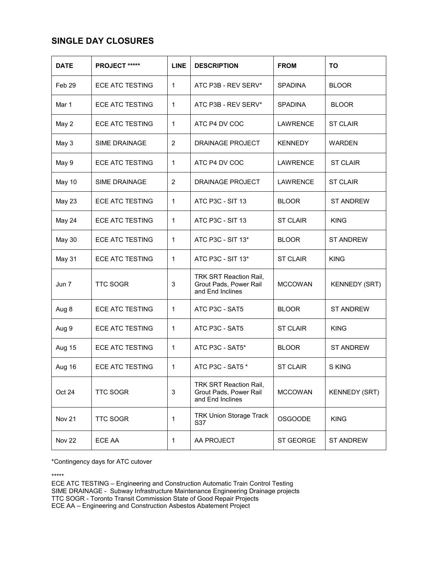## **SINGLE DAY CLOSURES**

| <b>DATE</b>       | PROJECT *****          | <b>LINE</b>    | <b>DESCRIPTION</b>                                                          | <b>FROM</b>     | TO                   |
|-------------------|------------------------|----------------|-----------------------------------------------------------------------------|-----------------|----------------------|
| Feb <sub>29</sub> | <b>ECE ATC TESTING</b> | 1              | ATC P3B - REV SERV*                                                         | <b>SPADINA</b>  | <b>BLOOR</b>         |
| Mar 1             | <b>ECE ATC TESTING</b> | 1              | ATC P3B - REV SERV*                                                         | <b>SPADINA</b>  | <b>BLOOR</b>         |
| May 2             | <b>ECE ATC TESTING</b> | 1              | ATC P4 DV COC                                                               | <b>LAWRENCE</b> | <b>ST CLAIR</b>      |
| May 3             | <b>SIME DRAINAGE</b>   | $\overline{2}$ | <b>DRAINAGE PROJECT</b>                                                     | <b>KENNEDY</b>  | <b>WARDEN</b>        |
| May 9             | <b>ECE ATC TESTING</b> | 1              | ATC P4 DV COC                                                               | LAWRENCE        | <b>ST CLAIR</b>      |
| May 10            | <b>SIME DRAINAGE</b>   | 2              | DRAINAGE PROJECT                                                            | LAWRENCE        | <b>ST CLAIR</b>      |
| May 23            | ECE ATC TESTING        | 1              | ATC P3C - SIT 13                                                            | <b>BLOOR</b>    | <b>ST ANDREW</b>     |
| May 24            | <b>ECE ATC TESTING</b> | 1              | ATC P3C - SIT 13                                                            | <b>ST CLAIR</b> | <b>KING</b>          |
| <b>May 30</b>     | <b>ECE ATC TESTING</b> | 1              | ATC P3C - SIT 13*                                                           | <b>BLOOR</b>    | <b>ST ANDREW</b>     |
| May 31            | <b>ECE ATC TESTING</b> | 1              | ATC P3C - SIT 13*                                                           | <b>ST CLAIR</b> | <b>KING</b>          |
| Jun 7             | <b>TTC SOGR</b>        | 3              | <b>TRK SRT Reaction Rail,</b><br>Grout Pads, Power Rail<br>and End Inclines | <b>MCCOWAN</b>  | <b>KENNEDY (SRT)</b> |
| Aug 8             | ECE ATC TESTING        | 1              | ATC P3C - SAT5                                                              | <b>BLOOR</b>    | <b>ST ANDREW</b>     |
| Aug 9             | <b>ECE ATC TESTING</b> | 1              | ATC P3C - SAT5                                                              | <b>ST CLAIR</b> | <b>KING</b>          |
| Aug 15            | <b>ECE ATC TESTING</b> | 1              | ATC P3C - SAT5*                                                             | <b>BLOOR</b>    | <b>ST ANDREW</b>     |
| Aug 16            | <b>ECE ATC TESTING</b> | 1              | ATC P3C - SAT5 *                                                            | <b>ST CLAIR</b> | S KING               |
| Oct 24            | <b>TTC SOGR</b>        | 3              | TRK SRT Reaction Rail,<br>Grout Pads, Power Rail<br>and End Inclines        | <b>MCCOWAN</b>  | <b>KENNEDY (SRT)</b> |
| Nov <sub>21</sub> | <b>TTC SOGR</b>        | 1              | <b>TRK Union Storage Track</b><br><b>KING</b><br><b>OSGOODE</b><br>S37      |                 |                      |
| <b>Nov 22</b>     | ECE AA                 | 1              | AA PROJECT                                                                  | ST GEORGE       | <b>ST ANDREW</b>     |

\*Contingency days for ATC cutover

\*\*\*\*\*

ECE ATC TESTING – Engineering and Construction Automatic Train Control Testing SIME DRAINAGE - Subway Infrastructure Maintenance Engineering Drainage projects TTC SOGR - Toronto Transit Commission State of Good Repair Projects ECE AA – Engineering and Construction Asbestos Abatement Project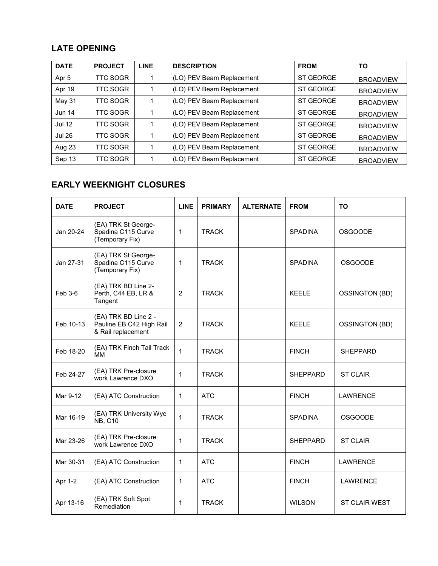## **LATE OPENING**

| <b>DATE</b>   | <b>PROJECT</b>  | <b>LINE</b> | <b>DESCRIPTION</b>        | <b>FROM</b>      | ΤО               |
|---------------|-----------------|-------------|---------------------------|------------------|------------------|
| Apr 5         | TTC SOGR        |             | (LO) PEV Beam Replacement | <b>ST GEORGE</b> | <b>BROADVIEW</b> |
| Apr 19        | TTC SOGR        |             | (LO) PEV Beam Replacement | <b>ST GEORGE</b> | <b>BROADVIEW</b> |
| May 31        | TTC SOGR        |             | (LO) PEV Beam Replacement | <b>ST GEORGE</b> | <b>BROADVIEW</b> |
| <b>Jun 14</b> | TTC SOGR        |             | (LO) PEV Beam Replacement | <b>ST GEORGE</b> | <b>BROADVIEW</b> |
| <b>Jul 12</b> | <b>TTC SOGR</b> |             | (LO) PEV Beam Replacement | <b>ST GEORGE</b> | <b>BROADVIEW</b> |
| <b>Jul 26</b> | TTC SOGR        |             | (LO) PEV Beam Replacement | <b>ST GEORGE</b> | <b>BROADVIEW</b> |
| Aug 23        | <b>TTC SOGR</b> |             | (LO) PEV Beam Replacement | <b>ST GEORGE</b> | <b>BROADVIEW</b> |
| Sep 13        | TTC SOGR        |             | (LO) PEV Beam Replacement | <b>ST GEORGE</b> | <b>BROADVIEW</b> |

# **EARLY WEEKNIGHT CLOSURES**

| <b>DATE</b> | <b>PROJECT</b>                                                         | <b>LINE</b>    | <b>PRIMARY</b> | <b>ALTERNATE</b> | <b>FROM</b>     | <b>TO</b>             |
|-------------|------------------------------------------------------------------------|----------------|----------------|------------------|-----------------|-----------------------|
| Jan 20-24   | (EA) TRK St George-<br>Spadina C115 Curve<br>(Temporary Fix)           | $\mathbf{1}$   | <b>TRACK</b>   |                  | <b>SPADINA</b>  | <b>OSGOODE</b>        |
| Jan 27-31   | (EA) TRK St George-<br>Spadina C115 Curve<br>(Temporary Fix)           | 1              | <b>TRACK</b>   |                  | <b>SPADINA</b>  | <b>OSGOODE</b>        |
| Feb 3-6     | (EA) TRK BD Line 2-<br>Perth, C44 EB, LR &<br>Tangent                  | $\overline{2}$ | <b>TRACK</b>   |                  | <b>KEELE</b>    | <b>OSSINGTON (BD)</b> |
| Feb 10-13   | (EA) TRK BD Line 2 -<br>Pauline EB C42 High Rail<br>& Rail replacement | $\overline{2}$ | <b>TRACK</b>   |                  | <b>KEELE</b>    | <b>OSSINGTON (BD)</b> |
| Feb 18-20   | (EA) TRK Finch Tail Track<br>ΜМ                                        | $\mathbf{1}$   | <b>TRACK</b>   |                  | <b>FINCH</b>    | <b>SHEPPARD</b>       |
| Feb 24-27   | (EA) TRK Pre-closure<br>work Lawrence DXO                              | $\mathbf{1}$   | <b>TRACK</b>   |                  | <b>SHEPPARD</b> | <b>ST CLAIR</b>       |
| Mar 9-12    | (EA) ATC Construction                                                  | $\mathbf{1}$   | <b>ATC</b>     |                  | <b>FINCH</b>    | <b>LAWRENCE</b>       |
| Mar 16-19   | (EA) TRK University Wye<br><b>NB, C10</b>                              | $\mathbf{1}$   | <b>TRACK</b>   |                  | <b>SPADINA</b>  | <b>OSGOODE</b>        |
| Mar 23-26   | (EA) TRK Pre-closure<br>work Lawrence DXO                              | 1              | <b>TRACK</b>   |                  | <b>SHEPPARD</b> | <b>ST CLAIR</b>       |
| Mar 30-31   | (EA) ATC Construction                                                  | $\mathbf{1}$   | <b>ATC</b>     |                  | <b>FINCH</b>    | <b>LAWRENCE</b>       |
| Apr 1-2     | (EA) ATC Construction                                                  | $\mathbf{1}$   | <b>ATC</b>     |                  | <b>FINCH</b>    | <b>LAWRENCE</b>       |
| Apr 13-16   | (EA) TRK Soft Spot<br>Remediation                                      | $\mathbf{1}$   | <b>TRACK</b>   |                  | <b>WILSON</b>   | <b>ST CLAIR WEST</b>  |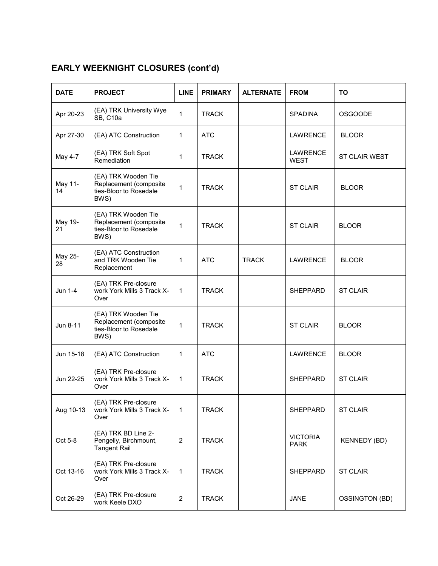# **EARLY WEEKNIGHT CLOSURES (cont'd)**

| <b>DATE</b>   | <b>PROJECT</b>                                                                  | <b>LINE</b>      | <b>PRIMARY</b> | <b>ALTERNATE</b> | <b>FROM</b>                    | <b>TO</b>            |
|---------------|---------------------------------------------------------------------------------|------------------|----------------|------------------|--------------------------------|----------------------|
| Apr 20-23     | (EA) TRK University Wye<br><b>SB, C10a</b>                                      | $\mathbf{1}$     | <b>TRACK</b>   |                  | <b>SPADINA</b>                 | <b>OSGOODE</b>       |
| Apr 27-30     | (EA) ATC Construction                                                           | 1                | <b>ATC</b>     |                  | <b>LAWRENCE</b>                | <b>BLOOR</b>         |
| May 4-7       | (EA) TRK Soft Spot<br>Remediation                                               | $\mathbf{1}$     | <b>TRACK</b>   |                  | <b>LAWRENCE</b><br><b>WEST</b> | <b>ST CLAIR WEST</b> |
| May 11-<br>14 | (EA) TRK Wooden Tie<br>Replacement (composite<br>ties-Bloor to Rosedale<br>BWS) | $\mathbf{1}$     | <b>TRACK</b>   |                  | <b>ST CLAIR</b>                | <b>BLOOR</b>         |
| May 19-<br>21 | (EA) TRK Wooden Tie<br>Replacement (composite<br>ties-Bloor to Rosedale<br>BWS) | $\mathbf{1}$     | <b>TRACK</b>   |                  | <b>ST CLAIR</b>                | <b>BLOOR</b>         |
| May 25-<br>28 | (EA) ATC Construction<br>and TRK Wooden Tie<br>Replacement                      | $\mathbf{1}$     | <b>ATC</b>     | <b>TRACK</b>     | <b>LAWRENCE</b>                | <b>BLOOR</b>         |
| Jun 1-4       | (EA) TRK Pre-closure<br>work York Mills 3 Track X-<br>Over                      | $\mathbf{1}$     | <b>TRACK</b>   |                  | <b>SHEPPARD</b>                | <b>ST CLAIR</b>      |
| Jun 8-11      | (EA) TRK Wooden Tie<br>Replacement (composite<br>ties-Bloor to Rosedale<br>BWS) | $\mathbf{1}$     | <b>TRACK</b>   |                  | <b>ST CLAIR</b>                | <b>BLOOR</b>         |
| Jun 15-18     | (EA) ATC Construction                                                           | $\mathbf{1}$     | <b>ATC</b>     |                  | <b>LAWRENCE</b>                | <b>BLOOR</b>         |
| Jun 22-25     | (EA) TRK Pre-closure<br>work York Mills 3 Track X-<br>Over                      | $\mathbf{1}$     | <b>TRACK</b>   |                  | <b>SHEPPARD</b>                | <b>ST CLAIR</b>      |
| Aug 10-13     | (EA) TRK Pre-closure<br>work York Mills 3 Track X-<br>Over                      | $\mathbf{1}$     | <b>TRACK</b>   |                  | SHEPPARD                       | <b>ST CLAIR</b>      |
| Oct 5-8       | (EA) TRK BD Line 2-<br>Pengelly, Birchmount,<br><b>Tangent Rail</b>             | $\boldsymbol{2}$ | <b>TRACK</b>   |                  | <b>VICTORIA</b><br><b>PARK</b> | <b>KENNEDY (BD)</b>  |
| Oct 13-16     | (EA) TRK Pre-closure<br>work York Mills 3 Track X-<br>Over                      | $\mathbf{1}$     | <b>TRACK</b>   |                  | SHEPPARD                       | <b>ST CLAIR</b>      |
| Oct 26-29     | (EA) TRK Pre-closure<br>work Keele DXO                                          | $\overline{c}$   | <b>TRACK</b>   |                  | <b>JANE</b>                    | OSSINGTON (BD)       |